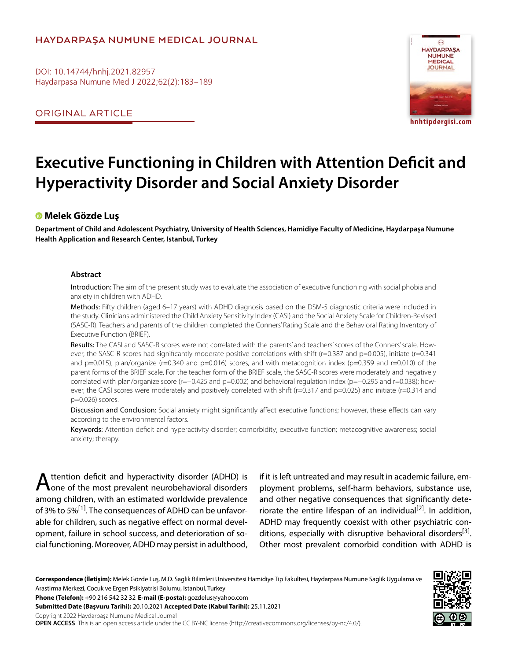# **HAYDARPAŞA NUMUNE MEDICAL JOURNAL**

DOI: 10.14744/hnhj.2021.82957 Haydarpasa Numune Med J 2022;62(2):183–189

ORIGINAL ARTICLE



**hnhtipdergisi.com**

# **Executive Functioning in Children with Attention Deficit and Hyperactivity Disorder and Social Anxiety Disorder**

# **Melek Gözde Luş**

**Department of Child and Adolescent Psychiatry, University of Health Sciences, Hamidiye Faculty of Medicine, Haydarpaşa Numune Health Application and Research Center, Istanbul, Turkey**

#### **Abstract**

Introduction: The aim of the present study was to evaluate the association of executive functioning with social phobia and anxiety in children with ADHD.

Methods: Fifty children (aged 6-17 years) with ADHD diagnosis based on the DSM-5 diagnostic criteria were included in the study. Clinicians administered the Child Anxiety Sensitivity Index (CASI) and the Social Anxiety Scale for Children-Revised (SASC-R). Teachers and parents of the children completed the Conners' Rating Scale and the Behavioral Rating Inventory of Executive Function (BRIEF).

Results: The CASI and SASC-R scores were not correlated with the parents' and teachers' scores of the Conners' scale. However, the SASC-R scores had significantly moderate positive correlations with shift (r=0.387 and p=0.005), initiate (r=0.341 and  $p=0.015$ ), plan/organize (r=0.340 and  $p=0.016$ ) scores, and with metacognition index ( $p=0.359$  and  $r=0.010$ ) of the parent forms of the BRIEF scale. For the teacher form of the BRIEF scale, the SASC-R scores were moderately and negatively correlated with plan/organize score (r=−0.425 and p=0.002) and behavioral regulation index (p=−0.295 and r=0.038); however, the CASI scores were moderately and positively correlated with shift (r=0.317 and p=0.025) and initiate (r=0.314 and p=0.026) scores.

Discussion and Conclusion: Social anxiety might significantly affect executive functions; however, these effects can vary according to the environmental factors.

Keywords: Attention deficit and hyperactivity disorder; comorbidity; executive function; metacognitive awareness; social anxiety; therapy.

Attention deficit and hyperactivity disorder (ADHD) is one of the most prevalent neurobehavioral disorders among children, with an estimated worldwide prevalence of 3% to 5%<sup>[1]</sup>. The consequences of ADHD can be unfavorable for children, such as negative effect on normal development, failure in school success, and deterioration of social functioning. Moreover, ADHD may persist in adulthood,

if it is left untreated and may result in academic failure, employment problems, self-harm behaviors, substance use, and other negative consequences that significantly deteriorate the entire lifespan of an individual<sup>[2]</sup>. In addition, ADHD may frequently coexist with other psychiatric conditions, especially with disruptive behavioral disorders<sup>[3]</sup>. Other most prevalent comorbid condition with ADHD is

**Correspondence (İletişim):** Melek Gözde Luş, M.D. Saglik Bilimleri Universitesi Hamidiye Tip Fakultesi, Haydarpasa Numune Saglik Uygulama ve Arastirma Merkezi, Cocuk ve Ergen Psikiyatrisi Bolumu, Istanbul, Turkey

**Phone (Telefon):** +90 216 542 32 32 **E-mail (E-posta):** gozdelus@yahoo.com

**Submitted Date (Başvuru Tarihi):** 20.10.2021 **Accepted Date (Kabul Tarihi):** 25.11.2021

Copyright 2022 Haydarpaşa Numune Medical Journal

**OPEN ACCESS** This is an open access article under the CC BY-NC license (http://creativecommons.org/licenses/by-nc/4.0/).

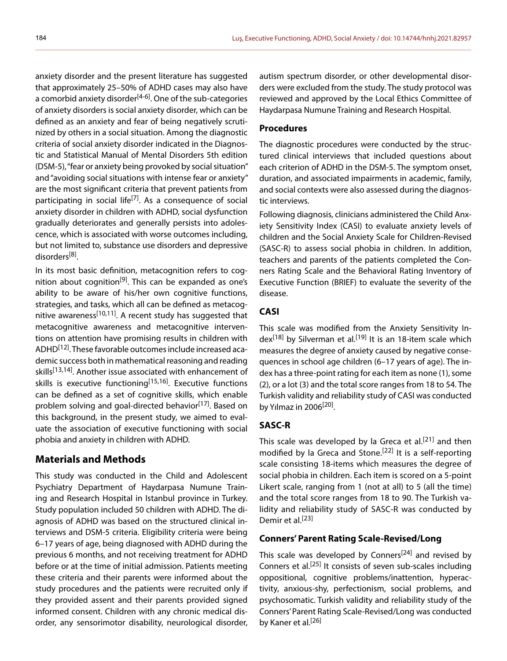anxiety disorder and the present literature has suggested that approximately 25–50% of ADHD cases may also have a comorbid anxiety disorder<sup>[4-6]</sup>. One of the sub-categories of anxiety disorders is social anxiety disorder, which can be defined as an anxiety and fear of being negatively scrutinized by others in a social situation. Among the diagnostic criteria of social anxiety disorder indicated in the Diagnostic and Statistical Manual of Mental Disorders 5th edition (DSM-5), "fear or anxiety being provoked by social situation" and "avoiding social situations with intense fear or anxiety" are the most significant criteria that prevent patients from participating in social life<sup>[7]</sup>. As a consequence of social anxiety disorder in children with ADHD, social dysfunction gradually deteriorates and generally persists into adolescence, which is associated with worse outcomes including, but not limited to, substance use disorders and depressive disorders<sup>[8]</sup>.

In its most basic definition, metacognition refers to cognition about cognition<sup>[9]</sup>. This can be expanded as one's ability to be aware of his/her own cognitive functions, strategies, and tasks, which all can be defined as metacognitive awareness<sup>[10,11]</sup>. A recent study has suggested that metacognitive awareness and metacognitive interventions on attention have promising results in children with ADHD<sup>[12]</sup>. These favorable outcomes include increased academic success both in mathematical reasoning and reading skills<sup>[13,14]</sup>. Another issue associated with enhancement of skills is executive functioning<sup>[15,16]</sup>. Executive functions can be defined as a set of cognitive skills, which enable problem solving and goal-directed behavior<sup>[17]</sup>. Based on this background, in the present study, we aimed to evaluate the association of executive functioning with social phobia and anxiety in children with ADHD.

# **Materials and Methods**

This study was conducted in the Child and Adolescent Psychiatry Department of Haydarpasa Numune Training and Research Hospital in Istanbul province in Turkey. Study population included 50 children with ADHD. The diagnosis of ADHD was based on the structured clinical interviews and DSM-5 criteria. Eligibility criteria were being 6–17 years of age, being diagnosed with ADHD during the previous 6 months, and not receiving treatment for ADHD before or at the time of initial admission. Patients meeting these criteria and their parents were informed about the study procedures and the patients were recruited only if they provided assent and their parents provided signed informed consent. Children with any chronic medical disorder, any sensorimotor disability, neurological disorder, autism spectrum disorder, or other developmental disorders were excluded from the study. The study protocol was reviewed and approved by the Local Ethics Committee of Haydarpasa Numune Training and Research Hospital.

# **Procedures**

The diagnostic procedures were conducted by the structured clinical interviews that included questions about each criterion of ADHD in the DSM-5. The symptom onset, duration, and associated impairments in academic, family, and social contexts were also assessed during the diagnostic interviews.

Following diagnosis, clinicians administered the Child Anxiety Sensitivity Index (CASI) to evaluate anxiety levels of children and the Social Anxiety Scale for Children-Revised (SASC-R) to assess social phobia in children. In addition, teachers and parents of the patients completed the Conners Rating Scale and the Behavioral Rating Inventory of Executive Function (BRIEF) to evaluate the severity of the disease.

## **CASI**

This scale was modified from the Anxiety Sensitivity Index<sup>[18]</sup> by Silverman et al.<sup>[19]</sup> It is an 18-item scale which measures the degree of anxiety caused by negative consequences in school age children (6–17 years of age). The index has a three-point rating for each item as none (1), some (2), or a lot (3) and the total score ranges from 18 to 54. The Turkish validity and reliability study of CASI was conducted by Yılmaz in 2006[20].

# **SASC-R**

This scale was developed by la Greca et al.<sup>[21]</sup> and then modified by la Greca and Stone.<sup>[22]</sup> It is a self-reporting scale consisting 18-items which measures the degree of social phobia in children. Each item is scored on a 5-point Likert scale, ranging from 1 (not at all) to 5 (all the time) and the total score ranges from 18 to 90. The Turkish validity and reliability study of SASC-R was conducted by Demir et al.<sup>[23]</sup>

# **Conners' Parent Rating Scale-Revised/Long**

This scale was developed by Conners<sup>[24]</sup> and revised by Conners et al.[25] It consists of seven sub-scales including oppositional, cognitive problems/inattention, hyperactivity, anxious-shy, perfectionism, social problems, and psychosomatic. Turkish validity and reliability study of the Conners' Parent Rating Scale-Revised/Long was conducted by Kaner et al.<sup>[26]</sup>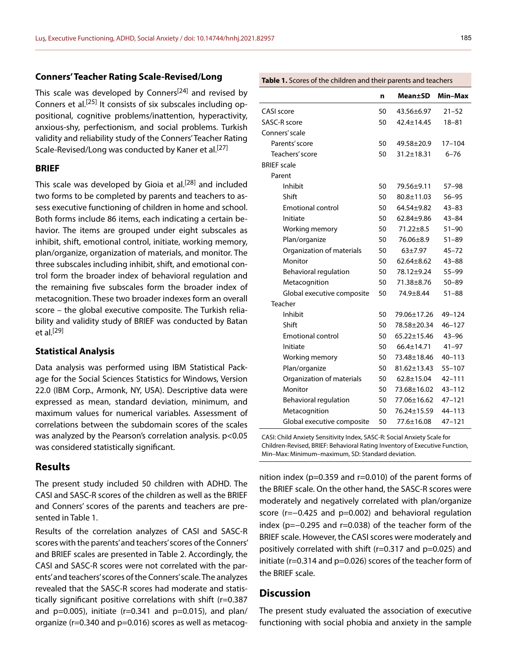#### **Conners' Teacher Rating Scale-Revised/Long**

This scale was developed by Conners<sup>[24]</sup> and revised by Conners et al.<sup>[25]</sup> It consists of six subscales including oppositional, cognitive problems/inattention, hyperactivity, anxious-shy, perfectionism, and social problems. Turkish validity and reliability study of the Conners' Teacher Rating Scale-Revised/Long was conducted by Kaner et al.<sup>[27]</sup>

#### **BRIEF**

This scale was developed by Gioia et al.<sup>[28]</sup> and included two forms to be completed by parents and teachers to assess executive functioning of children in home and school. Both forms include 86 items, each indicating a certain behavior. The items are grouped under eight subscales as inhibit, shift, emotional control, initiate, working memory, plan/organize, organization of materials, and monitor. The three subscales including inhibit, shift, and emotional control form the broader index of behavioral regulation and the remaining five subscales form the broader index of metacognition. These two broader indexes form an overall score – the global executive composite. The Turkish reliability and validity study of BRIEF was conducted by Batan et al.<sup>[29]</sup>

#### **Statistical Analysis**

Data analysis was performed using IBM Statistical Package for the Social Sciences Statistics for Windows, Version 22.0 (IBM Corp., Armonk, NY, USA). Descriptive data were expressed as mean, standard deviation, minimum, and maximum values for numerical variables. Assessment of correlations between the subdomain scores of the scales was analyzed by the Pearson's correlation analysis. p<0.05 was considered statistically significant.

## **Results**

The present study included 50 children with ADHD. The CASI and SASC-R scores of the children as well as the BRIEF and Conners' scores of the parents and teachers are presented in Table 1.

Results of the correlation analyzes of CASI and SASC-R scores with the parents' and teachers' scores of the Conners' and BRIEF scales are presented in Table 2. Accordingly, the CASI and SASC-R scores were not correlated with the parents' and teachers' scores of the Conners' scale. The analyzes revealed that the SASC-R scores had moderate and statistically significant positive correlations with shift (r=0.387 and  $p=0.005$ ), initiate (r=0.341 and  $p=0.015$ ), and plan/ organize (r=0.340 and p=0.016) scores as well as metacog-

|                            | n  | <b>Mean±SD</b>   | Min-Max    |
|----------------------------|----|------------------|------------|
| CASI score                 | 50 | 43.56+6.97       | $21 - 52$  |
| <b>SASC-R score</b>        | 50 | 42.4±14.45       | $18 - 81$  |
| Conners' scale             |    |                  |            |
| Parents' score             | 50 | 49.58±20.9       | $17 - 104$ |
| Teachers' score            | 50 | $31.2 \pm 18.31$ | $6 - 76$   |
| <b>BRIEF</b> scale         |    |                  |            |
| Parent                     |    |                  |            |
| Inhibit                    | 50 | 79.56±9.11       | 57–98      |
| Shift                      | 50 | $80.8 \pm 11.03$ | $56 - 95$  |
| <b>Emotional control</b>   | 50 | 64.54±9.82       | $43 - 83$  |
| Initiate                   | 50 | 62.84±9.86       | $43 - 84$  |
| Working memory             | 50 | $71.22 \pm 8.5$  | $51 - 90$  |
| Plan/organize              | 50 | 76.06±8.9        | $51 - 89$  |
| Organization of materials  | 50 | $63 + 7.97$      | $45 - 72$  |
| Monitor                    | 50 | $62.64 + 8.62$   | $43 - 88$  |
| Behavioral regulation      | 50 | 78.12±9.24       | $55 - 99$  |
| Metacognition              | 50 | 71.38±8.76       | $50 - 89$  |
| Global executive composite | 50 | 74.9±8.44        | $51 - 88$  |
| Teacher                    |    |                  |            |
| Inhibit                    | 50 | 79.06±17.26      | $49 - 124$ |
| Shift                      | 50 | 78.58±20.34      | $46 - 127$ |
| <b>Emotional control</b>   | 50 | 65.22±15.46      | $43 - 96$  |
| Initiate                   | 50 | $66.4 \pm 14.71$ | $41 - 97$  |
| Working memory             | 50 | 73.48±18.46      | $40 - 113$ |
| Plan/organize              | 50 | 81.62±13.43      | $55 - 107$ |
| Organization of materials  | 50 | $62.8 \pm 15.04$ | 42–111     |
| Monitor                    | 50 | 73.68±16.02      | $43 - 112$ |
| Behavioral regulation      | 50 | 77.06±16.62      | $47 - 121$ |
| Metacognition              | 50 | 76.24±15.59      | 44–113     |
| Global executive composite | 50 | 77.6±16.08       | $47 - 121$ |

CASI: Child Anxiety Sensitivity Index, SASC-R: Social Anxiety Scale for Children-Revised, BRIEF: Behavioral Rating Inventory of Executive Function, Min–Max: Minimum–maximum, SD: Standard deviation.

nition index ( $p=0.359$  and  $r=0.010$ ) of the parent forms of the BRIEF scale. On the other hand, the SASC-R scores were moderately and negatively correlated with plan/organize score (r=−0.425 and p=0.002) and behavioral regulation index (p=−0.295 and r=0.038) of the teacher form of the BRIEF scale. However, the CASI scores were moderately and positively correlated with shift (r=0.317 and p=0.025) and initiate (r=0.314 and p=0.026) scores of the teacher form of the BRIEF scale.

# **Discussion**

The present study evaluated the association of executive functioning with social phobia and anxiety in the sample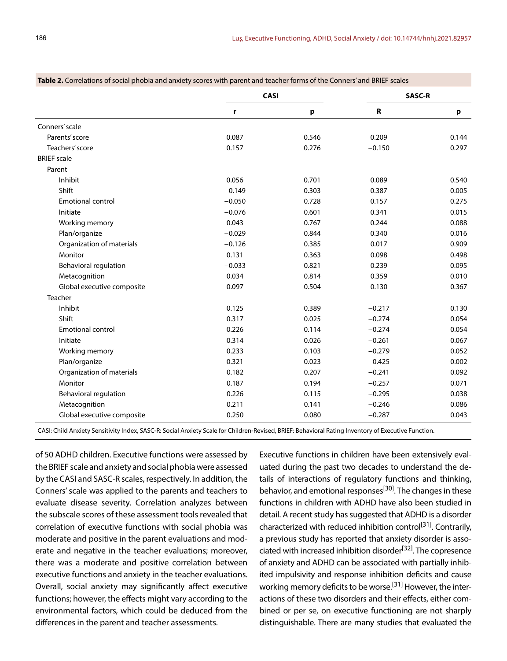|                              | <b>CASI</b> |       | <b>SASC-R</b> |       |
|------------------------------|-------------|-------|---------------|-------|
|                              | r.          | p     | $\mathbf R$   | p     |
| Conners' scale               |             |       |               |       |
| Parents' score               | 0.087       | 0.546 | 0.209         | 0.144 |
| Teachers' score              | 0.157       | 0.276 | $-0.150$      | 0.297 |
| <b>BRIEF</b> scale           |             |       |               |       |
| Parent                       |             |       |               |       |
| Inhibit                      | 0.056       | 0.701 | 0.089         | 0.540 |
| Shift                        | $-0.149$    | 0.303 | 0.387         | 0.005 |
| <b>Emotional control</b>     | $-0.050$    | 0.728 | 0.157         | 0.275 |
| Initiate                     | $-0.076$    | 0.601 | 0.341         | 0.015 |
| Working memory               | 0.043       | 0.767 | 0.244         | 0.088 |
| Plan/organize                | $-0.029$    | 0.844 | 0.340         | 0.016 |
| Organization of materials    | $-0.126$    | 0.385 | 0.017         | 0.909 |
| Monitor                      | 0.131       | 0.363 | 0.098         | 0.498 |
| <b>Behavioral regulation</b> | $-0.033$    | 0.821 | 0.239         | 0.095 |
| Metacognition                | 0.034       | 0.814 | 0.359         | 0.010 |
| Global executive composite   | 0.097       | 0.504 | 0.130         | 0.367 |
| Teacher                      |             |       |               |       |
| Inhibit                      | 0.125       | 0.389 | $-0.217$      | 0.130 |
| Shift                        | 0.317       | 0.025 | $-0.274$      | 0.054 |
| <b>Emotional control</b>     | 0.226       | 0.114 | $-0.274$      | 0.054 |
| Initiate                     | 0.314       | 0.026 | $-0.261$      | 0.067 |
| Working memory               | 0.233       | 0.103 | $-0.279$      | 0.052 |
| Plan/organize                | 0.321       | 0.023 | $-0.425$      | 0.002 |
| Organization of materials    | 0.182       | 0.207 | $-0.241$      | 0.092 |
| Monitor                      | 0.187       | 0.194 | $-0.257$      | 0.071 |
| Behavioral regulation        | 0.226       | 0.115 | $-0.295$      | 0.038 |
| Metacognition                | 0.211       | 0.141 | $-0.246$      | 0.086 |
| Global executive composite   | 0.250       | 0.080 | $-0.287$      | 0.043 |

#### **Table 2.** Correlations of social phobia and anxiety scores with parent and teacher forms of the Conners' and BRIEF scales

CASI: Child Anxiety Sensitivity Index, SASC-R: Social Anxiety Scale for Children-Revised, BRIEF: Behavioral Rating Inventory of Executive Function.

of 50 ADHD children. Executive functions were assessed by the BRIEF scale and anxiety and social phobia were assessed by the CASI and SASC-R scales, respectively. In addition, the Conners' scale was applied to the parents and teachers to evaluate disease severity. Correlation analyzes between the subscale scores of these assessment tools revealed that correlation of executive functions with social phobia was moderate and positive in the parent evaluations and moderate and negative in the teacher evaluations; moreover, there was a moderate and positive correlation between executive functions and anxiety in the teacher evaluations. Overall, social anxiety may significantly affect executive functions; however, the effects might vary according to the environmental factors, which could be deduced from the differences in the parent and teacher assessments.

Executive functions in children have been extensively evaluated during the past two decades to understand the details of interactions of regulatory functions and thinking, behavior, and emotional responses<sup>[30]</sup>. The changes in these functions in children with ADHD have also been studied in detail. A recent study has suggested that ADHD is a disorder characterized with reduced inhibition control<sup>[31]</sup>. Contrarily, a previous study has reported that anxiety disorder is associated with increased inhibition disorder<sup>[32]</sup>. The copresence of anxiety and ADHD can be associated with partially inhibited impulsivity and response inhibition deficits and cause working memory deficits to be worse.[31] However, the interactions of these two disorders and their effects, either combined or per se, on executive functioning are not sharply distinguishable. There are many studies that evaluated the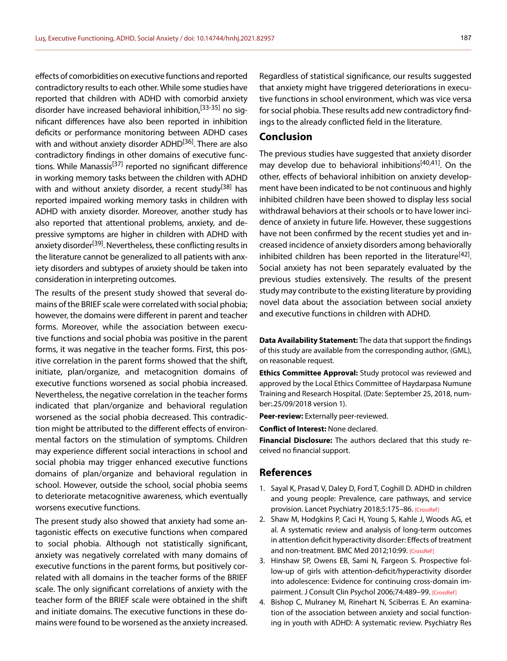effects of comorbidities on executive functions and reported contradictory results to each other. While some studies have reported that children with ADHD with comorbid anxiety disorder have increased behavioral inhibition,[33-35] no significant differences have also been reported in inhibition deficits or performance monitoring between ADHD cases with and without anxiety disorder ADHD<sup>[36]</sup>. There are also contradictory findings in other domains of executive functions. While Manassis<sup>[37]</sup> reported no significant difference in working memory tasks between the children with ADHD with and without anxiety disorder, a recent study<sup>[38]</sup> has reported impaired working memory tasks in children with ADHD with anxiety disorder. Moreover, another study has also reported that attentional problems, anxiety, and depressive symptoms are higher in children with ADHD with anxiety disorder<sup>[39]</sup>. Nevertheless, these conflicting results in the literature cannot be generalized to all patients with anxiety disorders and subtypes of anxiety should be taken into consideration in interpreting outcomes.

The results of the present study showed that several domains of the BRIEF scale were correlated with social phobia; however, the domains were different in parent and teacher forms. Moreover, while the association between executive functions and social phobia was positive in the parent forms, it was negative in the teacher forms. First, this positive correlation in the parent forms showed that the shift, initiate, plan/organize, and metacognition domains of executive functions worsened as social phobia increased. Nevertheless, the negative correlation in the teacher forms indicated that plan/organize and behavioral regulation worsened as the social phobia decreased. This contradiction might be attributed to the different effects of environmental factors on the stimulation of symptoms. Children may experience different social interactions in school and social phobia may trigger enhanced executive functions domains of plan/organize and behavioral regulation in school. However, outside the school, social phobia seems to deteriorate metacognitive awareness, which eventually worsens executive functions.

The present study also showed that anxiety had some antagonistic effects on executive functions when compared to social phobia. Although not statistically significant, anxiety was negatively correlated with many domains of executive functions in the parent forms, but positively correlated with all domains in the teacher forms of the BRIEF scale. The only significant correlations of anxiety with the teacher form of the BRIEF scale were obtained in the shift and initiate domains. The executive functions in these domains were found to be worsened as the anxiety increased.

Regardless of statistical significance, our results suggested that anxiety might have triggered deteriorations in executive functions in school environment, which was vice versa for social phobia. These results add new contradictory findings to the already conflicted field in the literature.

#### **Conclusion**

The previous studies have suggested that anxiety disorder may develop due to behavioral inhibitions $[40,41]$ . On the other, effects of behavioral inhibition on anxiety development have been indicated to be not continuous and highly inhibited children have been showed to display less social withdrawal behaviors at their schools or to have lower incidence of anxiety in future life. However, these suggestions have not been confirmed by the recent studies yet and increased incidence of anxiety disorders among behaviorally inhibited children has been reported in the literature<sup>[42]</sup>. Social anxiety has not been separately evaluated by the previous studies extensively. The results of the present study may contribute to the existing literature by providing novel data about the association between social anxiety and executive functions in children with ADHD.

**Data Availability Statement:** The data that support the findings of this study are available from the corresponding author, (GML), on reasonable request.

**Ethics Committee Approval:** Study protocol was reviewed and approved by the Local Ethics Committee of Haydarpasa Numune Training and Research Hospital. (Date: September 25, 2018, number:.25/09/2018 version 1).

**Peer-review:** Externally peer-reviewed.

**Conflict of Interest:** None declared.

**Financial Disclosure:** The authors declared that this study received no financial support.

# **References**

- 1. Sayal K, Prasad V, Daley D, Ford T, Coghill D. ADHD in children and young people: Prevalence, care pathways, and service provision. Lancet Psychiatry 2018;5:175-86. [\[CrossRef\]](https://doi.org/10.1016/S2215-0366(17)30167-0)
- 2. Shaw M, Hodgkins P, Caci H, Young S, Kahle J, Woods AG, et al. A systematic review and analysis of long-term outcomes in attention deficit hyperactivity disorder: Effects of treatment and non-treatment. BMC Med 2012;10:99. [\[CrossRef\]](https://doi.org/10.1186/1741-7015-10-99)
- 3. Hinshaw SP, Owens EB, Sami N, Fargeon S. Prospective follow-up of girls with attention-deficit/hyperactivity disorder into adolescence: Evidence for continuing cross-domain im-pairment. J Consult Clin Psychol 2006;74:489-99. [\[CrossRef\]](https://doi.org/10.1037/0022-006X.74.3.489)
- 4. Bishop C, Mulraney M, Rinehart N, Sciberras E. An examination of the association between anxiety and social functioning in youth with ADHD: A systematic review. Psychiatry Res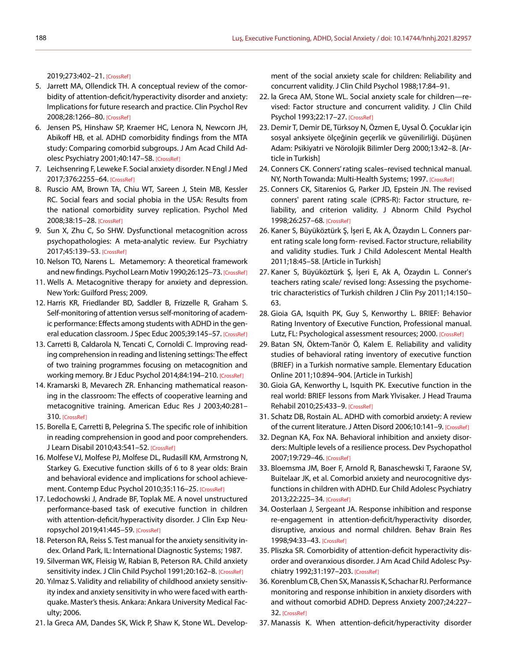2019;273:402–21. [\[CrossRef\]](https://doi.org/10.1016/j.psychres.2019.01.039)

- 5. Jarrett MA, Ollendick TH. A conceptual review of the comorbidity of attention-deficit/hyperactivity disorder and anxiety: Implications for future research and practice. Clin Psychol Rev 2008;28:1266–80. [\[CrossRef\]](https://doi.org/10.1016/j.cpr.2008.05.004)
- 6. Jensen PS, Hinshaw SP, Kraemer HC, Lenora N, Newcorn JH, Abikoff HB, et al. ADHD comorbidity findings from the MTA study: Comparing comorbid subgroups. J Am Acad Child Ad-olesc Psychiatry 2001;40:147-58. [\[CrossRef\]](https://doi.org/10.1097/00004583-200102000-00009)
- 7. Leichsenring F, Leweke F. Social anxiety disorder. N Engl J Med 2017;376:2255–64. [\[CrossRef\]](https://doi.org/10.1056/NEJMcp1614701)
- 8. Ruscio AM, Brown TA, Chiu WT, Sareen J, Stein MB, Kessler RC. Social fears and social phobia in the USA: Results from the national comorbidity survey replication. Psychol Med 2008;38:15–28. [\[CrossRef\]](https://doi.org/10.1017/S0033291707001699)
- 9. Sun X, Zhu C, So SHW. Dysfunctional metacognition across psychopathologies: A meta-analytic review. Eur Psychiatry 2017;45:139–53. [\[CrossRef\]](https://doi.org/10.1016/j.eurpsy.2017.05.029)
- 10. Nelson TO, Narens L. Metamemory: A theoretical framework and new findings. Psychol Learn Motiv 1990;26:125-73[. \[CrossRef\]](https://doi.org/10.1016/S0079-7421(08)60053-5)
- 11. Wells A. Metacognitive therapy for anxiety and depression. New York: Guilford Press; 2009.
- 12. Harris KR, Friedlander BD, Saddler B, Frizzelle R, Graham S. Self-monitoring of attention versus self-monitoring of academic performance: Effects among students with ADHD in the gen-eral education classroom. J Spec Educ 2005;39:145-57. [\[CrossRef\]](https://doi.org/10.1177/00224669050390030201)
- 13. Carretti B, Caldarola N, Tencati C, Cornoldi C. Improving reading comprehension in reading and listening settings: The effect of two training programmes focusing on metacognition and working memory. Br J Educ Psychol 2014;84:194-210. [\[CrossRef\]](https://doi.org/10.1111/bjep.12022)
- 14. Kramarski B, Mevarech ZR. Enhancing mathematical reasoning in the classroom: The effects of cooperative learning and metacognitive training. American Educ Res J 2003;40:281– 310. [\[CrossRef\]](https://doi.org/10.3102/00028312040001281)
- 15. Borella E, Carretti B, Pelegrina S. The specific role of inhibition in reading comprehension in good and poor comprehenders. J Learn Disabil 2010;43:541–52. [\[CrossRef\]](https://doi.org/10.1177/0022219410371676)
- 16. Molfese VJ, Molfese PJ, Molfese DL, Rudasill KM, Armstrong N, Starkey G. Executive function skills of 6 to 8 year olds: Brain and behavioral evidence and implications for school achieve-ment. Contemp Educ Psychol 2010;35:116-25[. \[CrossRef\]](https://doi.org/10.1016/j.cedpsych.2010.03.004)
- 17. Ledochowski J, Andrade BF, Toplak ME. A novel unstructured performance-based task of executive function in children with attention-deficit/hyperactivity disorder. J Clin Exp Neuropsychol 2019;41:445–59. [\[CrossRef\]](https://doi.org/10.1080/13803395.2019.1567694)
- 18. Peterson RA, Reiss S. Test manual for the anxiety sensitivity index. Orland Park, IL: International Diagnostic Systems; 1987.
- 19. Silverman WK, Fleisig W, Rabian B, Peterson RA. Child anxiety sensitivity index. J Clin Child Psychol 1991;20:162-8. [\[CrossRef\]](https://doi.org/10.1207/s15374424jccp2002_7)
- 20. Yılmaz S. Validity and reliability of childhood anxiety sensitivity index and anxiety sensitivity in who were faced with earthquake. Master's thesis. Ankara: Ankara University Medical Faculty; 2006.
- 21. la Greca AM, Dandes SK, Wick P, Shaw K, Stone WL. Develop-

ment of the social anxiety scale for children: Reliability and concurrent validity. J Clin Child Psychol [1988;17:84–91.](https://doi.org/10.1207/s15374424jccp1701_11)

- 22. la Greca AM, Stone WL. Social anxiety scale for children—revised: Factor structure and concurrent validity. J Clin Child Psychol 1993;22:17–27. [\[CrossRef\]](https://doi.org/10.1207/s15374424jccp2201_2)
- 23. Demir T, Demir DE, Türksoy N, Özmen E, Uysal Ö. Çocuklar için sosyal anksiyete ölçeğinin geçerlik ve güvenilirliği. Düşünen Adam: Psikiyatri ve Nörolojik Bilimler Derg 2000;13:42–8. [Article in Turkish]
- 24. Conners CK. Conners' rating scales–revised technical manual. NY, North Towanda: Multi-Health Systems; 1997. [\[CrossRef\]](https://doi.org/10.1037/t81067-000)
- 25. Conners CK, Sitarenios G, Parker JD, Epstein JN. The revised conners' parent rating scale (CPRS-R): Factor structure, reliability, and criterion validity. J Abnorm Child Psychol 1998;26:257–68. [\[CrossRef\]](https://doi.org/10.1023/A:1022606501530)
- 26. Kaner S, Büyüköztürk Ş, İşeri E, Ak A, Özaydın L. Conners parent rating scale long form- revised. Factor structure, reliability and validity studies. Turk J Child Adolescent Mental Health 2011;18:45–58. [Article in Turkish]
- 27. Kaner S, Büyüköztürk Ş, İşeri E, Ak A, Özaydın L. Conner's teachers rating scale/ revised long: Assessing the psychometric characteristics of Turkish children J Clin Psy 2011;14:150– 63.
- 28. Gioia GA, Isquith PK, Guy S, Kenworthy L. BRIEF: Behavior Rating Inventory of Executive Function, Professional manual. Lutz, FL: Psychological assessment resources; 2000. [\[CrossRef\]](https://doi.org/10.1076/chin.6.3.235.3152)
- 29. Batan SN, Öktem-Tanör Ö, Kalem E. Reliability and validity studies of behavioral rating inventory of executive function (BRIEF) in a Turkish normative sample. Elementary Education Online 2011;10:894–904. [Article in Turkish]
- 30. Gioia GA, Kenworthy L, Isquith PK. Executive function in the real world: BRIEF lessons from Mark Ylvisaker. J Head Trauma Rehabil 2010;25:433–9. [\[CrossRef\]](https://doi.org/10.1097/HTR.0b013e3181fbc272)
- 31. Schatz DB, Rostain AL. ADHD with comorbid anxiety: A review of the current literature. J Atten Disord 2006;10:141-9. [\[CrossRef\]](https://doi.org/10.1177/1087054706286698)
- 32. Degnan KA, Fox NA. Behavioral inhibition and anxiety disorders: Multiple levels of a resilience process. Dev Psychopathol 2007;19:729–46[. \[CrossRef\]](https://doi.org/10.1017/S0954579407000363)
- 33. Bloemsma JM, Boer F, Arnold R, Banaschewski T, Faraone SV, Buitelaar JK, et al. Comorbid anxiety and neurocognitive dysfunctions in children with ADHD. Eur Child Adolesc Psychiatry 2013;22:225–34[. \[CrossRef\]](https://doi.org/10.1007/s00787-012-0339-9)
- 34. Oosterlaan J, Sergeant JA. Response inhibition and response re-engagement in attention-deficit/hyperactivity disorder, disruptive, anxious and normal children. Behav Brain Res 1998;94:33–43. [\[CrossRef\]](https://doi.org/10.1016/S0166-4328(97)00167-8)
- 35. Pliszka SR. Comorbidity of attention-deficit hyperactivity disorder and overanxious disorder. J Am Acad Child Adolesc Psychiatry 1992;31:197–203. [\[CrossRef\]](https://doi.org/10.1097/00004583-199203000-00003)
- 36. Korenblum CB, Chen SX, Manassis K, Schachar RJ. Performance monitoring and response inhibition in anxiety disorders with and without comorbid ADHD. Depress Anxiety 2007;24:227– 32. [\[CrossRef\]](https://doi.org/10.1002/da.20237)
- 37. Manassis K. When attention-deficit/hyperactivity disorder